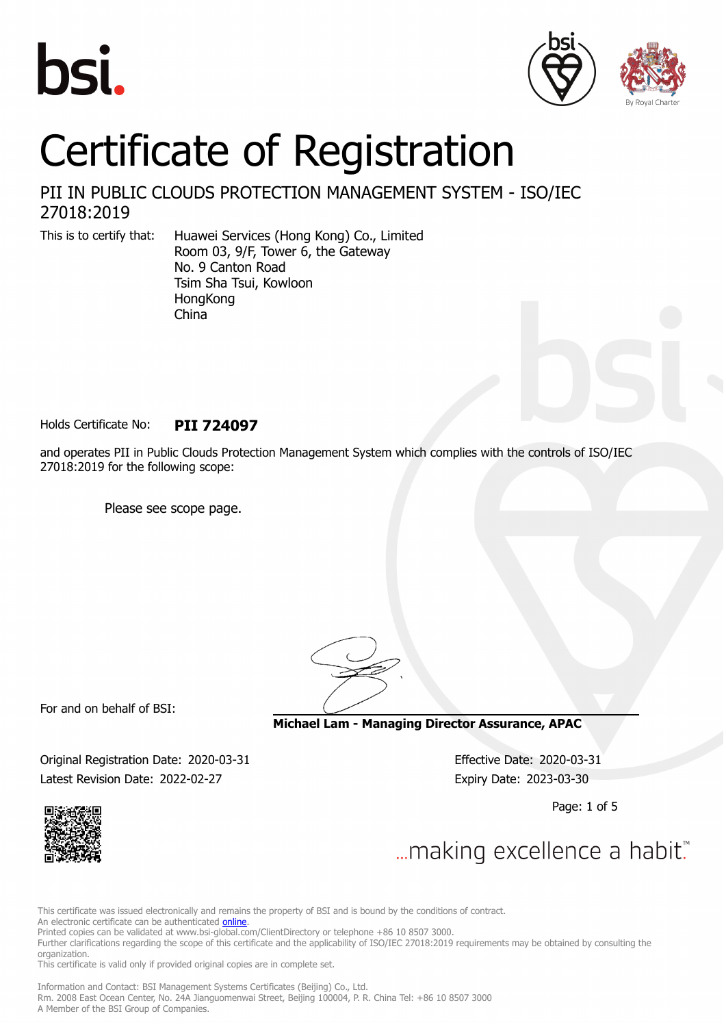





# Certificate of Registration

### PII IN PUBLIC CLOUDS PROTECTION MANAGEMENT SYSTEM - ISO/IEC 27018:2019

This is to certify that: Huawei Services (Hong Kong) Co., Limited Room 03, 9/F, Tower 6, the Gateway No. 9 Canton Road Tsim Sha Tsui, Kowloon **HongKong** China

Holds Certificate No: **PII 724097**

and operates PII in Public Clouds Protection Management System which complies with the controls of ISO/IEC 27018:2019 for the following scope:

Please see scope page.

For and on behalf of BSI:

**Michael Lam - Managing Director Assurance, APAC**

Original Registration Date: 2020-03-31 Effective Date: 2020-03-31 Latest Revision Date: 2022-02-27 Expiry Date: 2023-03-30

Page: 1 of 5



... making excellence a habit."

This certificate was issued electronically and remains the property of BSI and is bound by the conditions of contract.

An electronic certificate can be authenticated **[online](https://pgplus.bsigroup.com/CertificateValidation/CertificateValidator.aspx?CertificateNumber=PII+724097&ReIssueDate=27%2f02%2f2022&Template=cnen)**.

Printed copies can be validated at www.bsi-global.com/ClientDirectory or telephone +86 10 8507 3000.

Further clarifications regarding the scope of this certificate and the applicability of ISO/IEC 27018:2019 requirements may be obtained by consulting the organization.

This certificate is valid only if provided original copies are in complete set.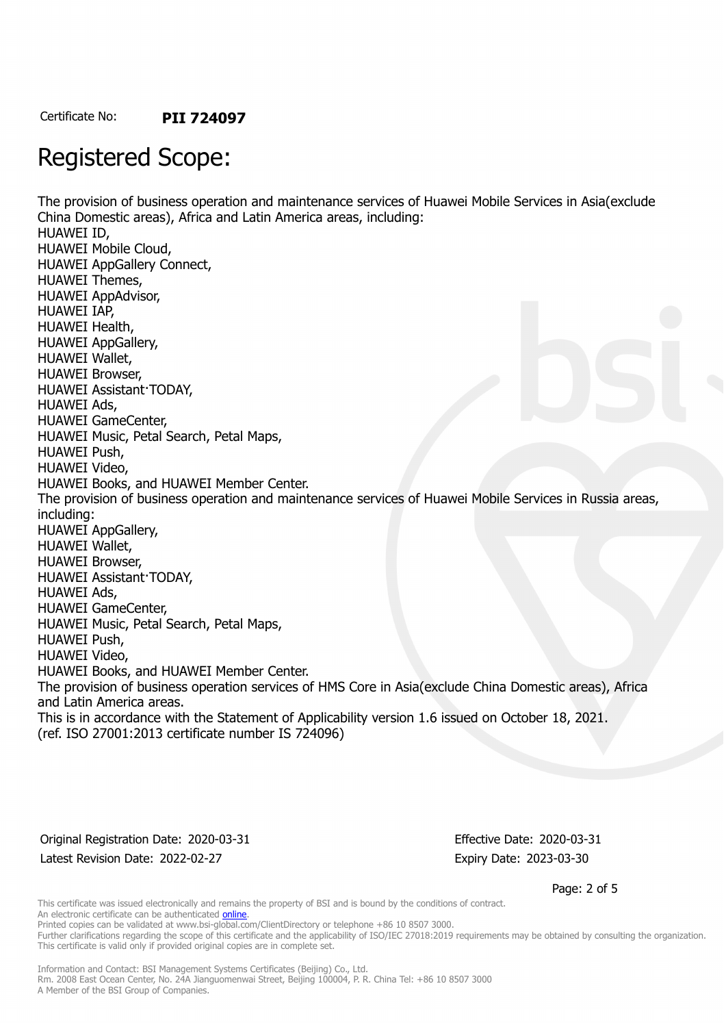## Registered Scope:

The provision of business operation and maintenance services of Huawei Mobile Services in Asia(exclude China Domestic areas), Africa and Latin America areas, including: HUAWEI ID, HUAWEI Mobile Cloud, HUAWEI AppGallery Connect, HUAWEI Themes, HUAWEI AppAdvisor, HUAWEI IAP, HUAWEI Health, HUAWEI AppGallery, HUAWEI Wallet, HUAWEI Browser, HUAWEI Assistant·TODAY, HUAWEI Ads, HUAWEI GameCenter, HUAWEI Music, Petal Search, Petal Maps, HUAWEI Push, HUAWEI Video, HUAWEI Books, and HUAWEI Member Center. The provision of business operation and maintenance services of Huawei Mobile Services in Russia areas, including: HUAWEI AppGallery, HUAWEI Wallet, HUAWEI Browser, HUAWEI Assistant·TODAY, HUAWEI Ads, HUAWEI GameCenter, HUAWEI Music, Petal Search, Petal Maps, HUAWEI Push, HUAWEI Video, HUAWEI Books, and HUAWEI Member Center. The provision of business operation services of HMS Core in Asia(exclude China Domestic areas), Africa and Latin America areas. This is in accordance with the Statement of Applicability version 1.6 issued on October 18, 2021. (ref. ISO 27001:2013 certificate number IS 724096)

Original Registration Date: 2020-03-31 Effective Date: 2020-03-31 Latest Revision Date: 2022-02-27 Expiry Date: 2023-03-30

Page: 2 of 5

This certificate was issued electronically and remains the property of BSI and is bound by the conditions of contract. An electronic certificate can be authenticated **[online](https://pgplus.bsigroup.com/CertificateValidation/CertificateValidator.aspx?CertificateNumber=PII+724097&ReIssueDate=27%2f02%2f2022&Template=cnen)**. Printed copies can be validated at www.bsi-global.com/ClientDirectory or telephone +86 10 8507 3000.

Further clarifications regarding the scope of this certificate and the applicability of ISO/IEC 27018:2019 requirements may be obtained by consulting the organization. This certificate is valid only if provided original copies are in complete set.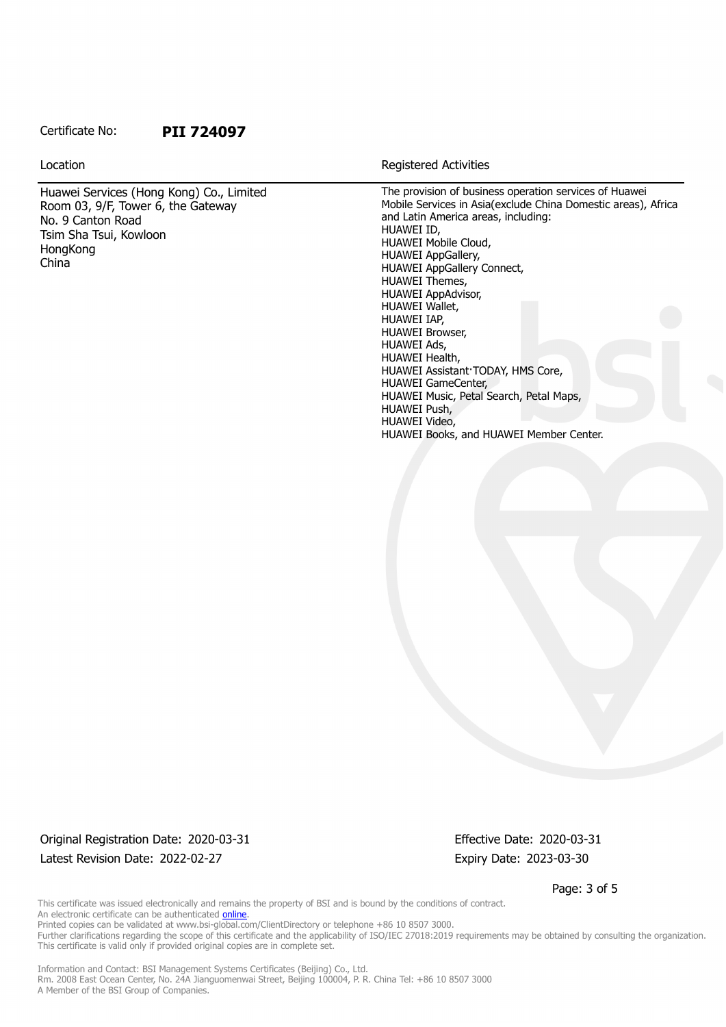#### Certificate No: **PII 724097**

Huawei Services (Hong Kong) Co., Limited Room 03, 9/F, Tower 6, the Gateway No. 9 Canton Road Tsim Sha Tsui, Kowloon **HongKong** China

Location **Exercise 2018 Location Registered Activities** 

The provision of business operation services of Huawei Mobile Services in Asia(exclude China Domestic areas), Africa and Latin America areas, including: HUAWEI ID, HUAWEI Mobile Cloud, HUAWEI AppGallery, HUAWEI AppGallery Connect, HUAWEI Themes, HUAWEI AppAdvisor, HUAWEI Wallet, HUAWEI IAP, HUAWEI Browser, HUAWEI Ads, HUAWEI Health, HUAWEI Assistant·TODAY, HMS Core, HUAWEI GameCenter, HUAWEI Music, Petal Search, Petal Maps, HUAWEI Push, HUAWEI Video, HUAWEI Books, and HUAWEI Member Center.

Original Registration Date: 2020-03-31 Effective Date: 2020-03-31 Latest Revision Date: 2022-02-27 Expiry Date: 2023-03-30

Page: 3 of 5

This certificate was issued electronically and remains the property of BSI and is bound by the conditions of contract. An electronic certificate can be authenticated **[online](https://pgplus.bsigroup.com/CertificateValidation/CertificateValidator.aspx?CertificateNumber=PII+724097&ReIssueDate=27%2f02%2f2022&Template=cnen)**. Printed copies can be validated at www.bsi-global.com/ClientDirectory or telephone +86 10 8507 3000.

Further clarifications regarding the scope of this certificate and the applicability of ISO/IEC 27018:2019 requirements may be obtained by consulting the organization. This certificate is valid only if provided original copies are in complete set.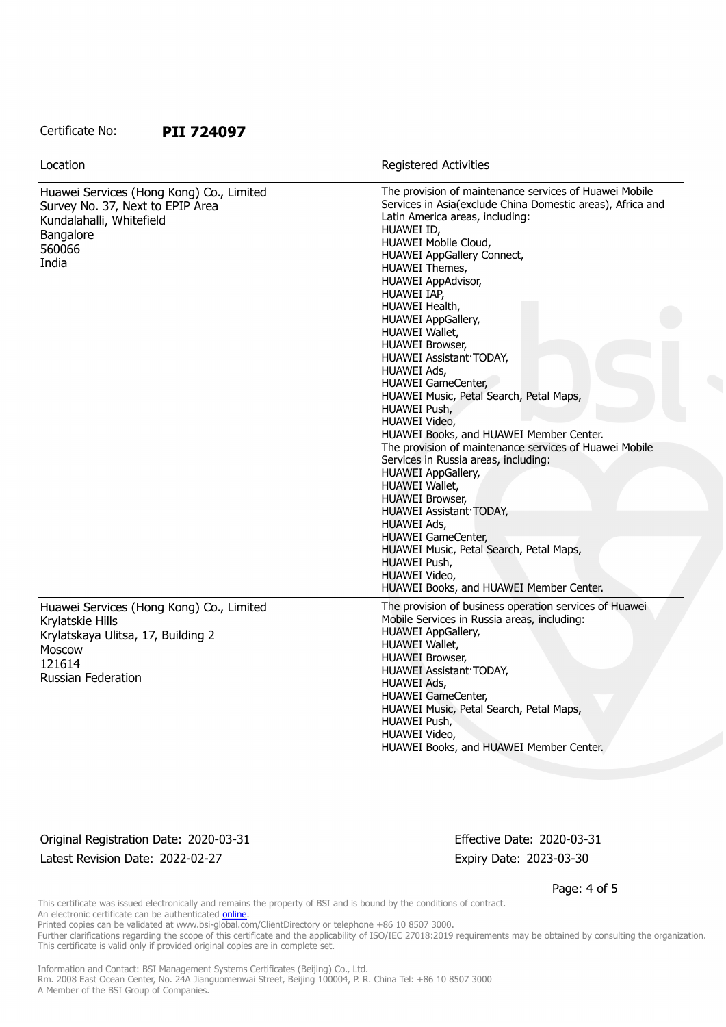#### Certificate No: **PII 724097**

| Location                                                                                                                                                   | <b>Registered Activities</b>                                                                                                                                                                                                                                                                                                                                                                                                                                                                                                                                                                                                                                                                                                                                                                                                                                                                                                                         |
|------------------------------------------------------------------------------------------------------------------------------------------------------------|------------------------------------------------------------------------------------------------------------------------------------------------------------------------------------------------------------------------------------------------------------------------------------------------------------------------------------------------------------------------------------------------------------------------------------------------------------------------------------------------------------------------------------------------------------------------------------------------------------------------------------------------------------------------------------------------------------------------------------------------------------------------------------------------------------------------------------------------------------------------------------------------------------------------------------------------------|
| Huawei Services (Hong Kong) Co., Limited<br>Survey No. 37, Next to EPIP Area<br>Kundalahalli, Whitefield<br>Bangalore<br>560066<br>India                   | The provision of maintenance services of Huawei Mobile<br>Services in Asia(exclude China Domestic areas), Africa and<br>Latin America areas, including:<br>HUAWEI ID,<br>HUAWEI Mobile Cloud,<br>HUAWEI AppGallery Connect,<br>HUAWEI Themes,<br>HUAWEI AppAdvisor,<br>HUAWEI IAP,<br>HUAWEI Health,<br><b>HUAWEI AppGallery,</b><br>HUAWEI Wallet,<br><b>HUAWEI Browser,</b><br>HUAWEI Assistant TODAY,<br>HUAWEI Ads,<br><b>HUAWEI GameCenter,</b><br>HUAWEI Music, Petal Search, Petal Maps,<br>HUAWEI Push,<br>HUAWEI Video,<br>HUAWEI Books, and HUAWEI Member Center.<br>The provision of maintenance services of Huawei Mobile<br>Services in Russia areas, including:<br>HUAWEI AppGallery,<br>HUAWEI Wallet,<br><b>HUAWEI Browser,</b><br>HUAWEI Assistant TODAY,<br><b>HUAWEI Ads,</b><br><b>HUAWEI GameCenter,</b><br>HUAWEI Music, Petal Search, Petal Maps,<br>HUAWEI Push,<br>HUAWEI Video,<br>HUAWEI Books, and HUAWEI Member Center. |
| Huawei Services (Hong Kong) Co., Limited<br>Krylatskie Hills<br>Krylatskaya Ulitsa, 17, Building 2<br><b>Moscow</b><br>121614<br><b>Russian Federation</b> | The provision of business operation services of Huawei<br>Mobile Services in Russia areas, including:<br><b>HUAWEI AppGallery,</b><br>HUAWEI Wallet,<br><b>HUAWEI Browser,</b><br>HUAWEI Assistant TODAY,<br>HUAWEI Ads,<br>HUAWEI GameCenter,<br>HUAWEI Music, Petal Search, Petal Maps,<br>HUAWEI Push,<br>HUAWEI Video,<br>HUAWEI Books, and HUAWEI Member Center.                                                                                                                                                                                                                                                                                                                                                                                                                                                                                                                                                                                |

Original Registration Date: 2020-03-31 Effective Date: 2020-03-31 Latest Revision Date: 2022-02-27 Expiry Date: 2023-03-30

Page: 4 of 5

This certificate was issued electronically and remains the property of BSI and is bound by the conditions of contract. An electronic certificate can be authenticated [online](https://pgplus.bsigroup.com/CertificateValidation/CertificateValidator.aspx?CertificateNumber=PII+724097&ReIssueDate=27%2f02%2f2022&Template=cnen). Printed copies can be validated at www.bsi-global.com/ClientDirectory or telephone +86 10 8507 3000.

Further clarifications regarding the scope of this certificate and the applicability of ISO/IEC 27018:2019 requirements may be obtained by consulting the organization.

This certificate is valid only if provided original copies are in complete set.